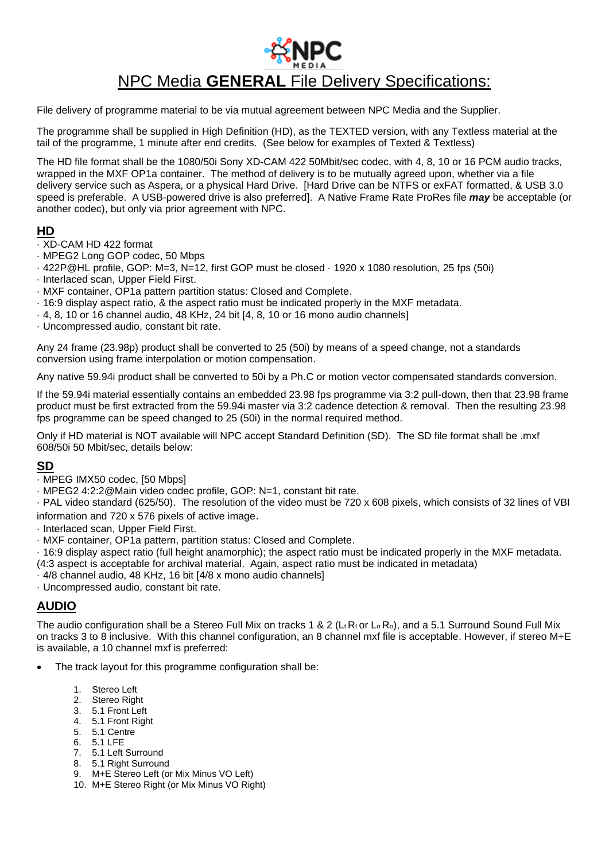

# NPC Media **GENERAL** File Delivery Specifications:

File delivery of programme material to be via mutual agreement between NPC Media and the Supplier.

The programme shall be supplied in High Definition (HD), as the TEXTED version, with any Textless material at the tail of the programme, 1 minute after end credits. (See below for examples of Texted & Textless)

The HD file format shall be the 1080/50i Sony XD-CAM 422 50Mbit/sec codec, with 4, 8, 10 or 16 PCM audio tracks, wrapped in the MXF OP1a container. The method of delivery is to be mutually agreed upon, whether via a file delivery service such as Aspera, or a physical Hard Drive. [Hard Drive can be NTFS or exFAT formatted, & USB 3.0 speed is preferable. A USB-powered drive is also preferred]. A Native Frame Rate ProRes file *may* be acceptable (or another codec), but only via prior agreement with NPC.

### **HD**

- · XD-CAM HD 422 format
- · MPEG2 Long GOP codec, 50 Mbps
- · 422P@HL profile, GOP: M=3, N=12, first GOP must be closed · 1920 x 1080 resolution, 25 fps (50i)
- · Interlaced scan, Upper Field First.
- · MXF container, OP1a pattern partition status: Closed and Complete.
- · 16:9 display aspect ratio, & the aspect ratio must be indicated properly in the MXF metadata.
- $\cdot$  4, 8, 10 or 16 channel audio, 48 KHz, 24 bit [4, 8, 10 or 16 mono audio channels]
- · Uncompressed audio, constant bit rate.

Any 24 frame (23.98p) product shall be converted to 25 (50i) by means of a speed change, not a standards conversion using frame interpolation or motion compensation.

Any native 59.94i product shall be converted to 50i by a Ph.C or motion vector compensated standards conversion.

If the 59.94i material essentially contains an embedded 23.98 fps programme via 3:2 pull-down, then that 23.98 frame product must be first extracted from the 59.94i master via 3:2 cadence detection & removal. Then the resulting 23.98 fps programme can be speed changed to 25 (50i) in the normal required method.

Only if HD material is NOT available will NPC accept Standard Definition (SD). The SD file format shall be .mxf 608/50i 50 Mbit/sec, details below:

### **SD**

- · MPEG IMX50 codec, [50 Mbps]
- · MPEG2 4:2:2@Main video codec profile, GOP: N=1, constant bit rate.

· PAL video standard (625/50). The resolution of the video must be 720 x 608 pixels, which consists of 32 lines of VBI information and 720 x 576 pixels of active image.

- · Interlaced scan, Upper Field First.
- · MXF container, OP1a pattern, partition status: Closed and Complete.
- · 16:9 display aspect ratio (full height anamorphic); the aspect ratio must be indicated properly in the MXF metadata.
- (4:3 aspect is acceptable for archival material. Again, aspect ratio must be indicated in metadata)
- · 4/8 channel audio, 48 KHz, 16 bit [4/8 x mono audio channels]
- · Uncompressed audio, constant bit rate.

# **AUDIO**

The audio configuration shall be a Stereo Full Mix on tracks 1 & 2 ( $L_t R_t$  or  $L_o R_o$ ), and a 5.1 Surround Sound Full Mix on tracks 3 to 8 inclusive. With this channel configuration, an 8 channel mxf file is acceptable. However, if stereo M+E is available, a 10 channel mxf is preferred:

- The track layout for this programme configuration shall be:
	- 1. Stereo Left
	- 2. Stereo Right
	- 3. 5.1 Front Left
	- 4. 5.1 Front Right
	- 5. 5.1 Centre
	- 6. 5.1 LFE
	- 7. 5.1 Left Surround
	- 8. 5.1 Right Surround
	- 9. M+E Stereo Left (or Mix Minus VO Left) 10. M+E Stereo Right (or Mix Minus VO Right)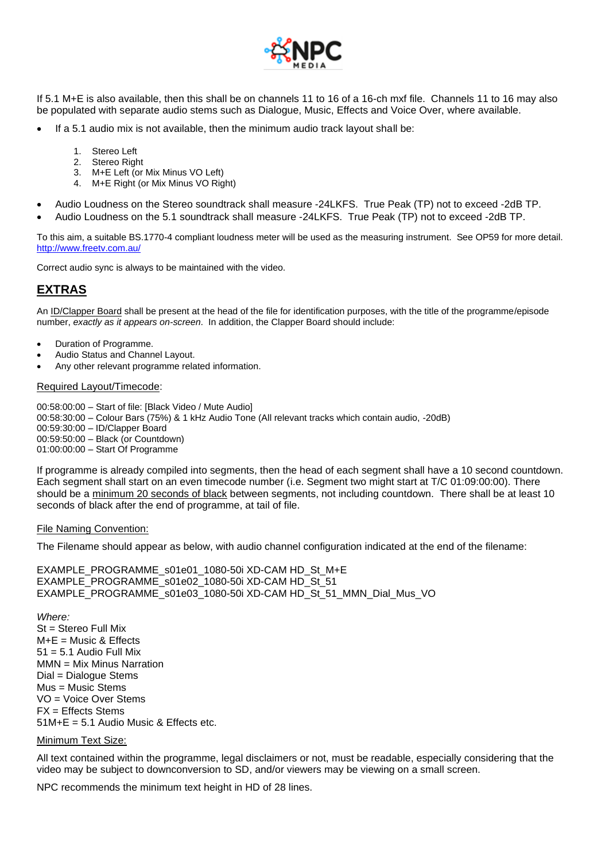

If 5.1 M+E is also available, then this shall be on channels 11 to 16 of a 16-ch mxf file. Channels 11 to 16 may also be populated with separate audio stems such as Dialogue, Music, Effects and Voice Over, where available.

- If a 5.1 audio mix is not available, then the minimum audio track layout shall be:
	- 1. Stereo Left
	- 2. Stereo Right
	- 3. M+E Left (or Mix Minus VO Left)
	- 4. M+E Right (or Mix Minus VO Right)
- Audio Loudness on the Stereo soundtrack shall measure -24LKFS. True Peak (TP) not to exceed -2dB TP.
- Audio Loudness on the 5.1 soundtrack shall measure -24LKFS. True Peak (TP) not to exceed -2dB TP.

To this aim, a suitable BS.1770-4 compliant loudness meter will be used as the measuring instrument. See OP59 for more detail. <http://www.freetv.com.au/>

Correct audio sync is always to be maintained with the video.

## **EXTRAS**

An ID/Clapper Board shall be present at the head of the file for identification purposes, with the title of the programme/episode number, *exactly as it appears on-screen*. In addition, the Clapper Board should include:

- Duration of Programme.
- Audio Status and Channel Layout.
- Any other relevant programme related information.

#### Required Layout/Timecode:

00:58:00:00 – Start of file: [Black Video / Mute Audio] 00:58:30:00 – Colour Bars (75%) & 1 kHz Audio Tone (All relevant tracks which contain audio, -20dB) 00:59:30:00 – ID/Clapper Board 00:59:50:00 – Black (or Countdown) 01:00:00:00 – Start Of Programme

If programme is already compiled into segments, then the head of each segment shall have a 10 second countdown. Each segment shall start on an even timecode number (i.e. Segment two might start at T/C 01:09:00:00). There should be a minimum 20 seconds of black between segments, not including countdown. There shall be at least 10 seconds of black after the end of programme, at tail of file.

#### File Naming Convention:

The Filename should appear as below, with audio channel configuration indicated at the end of the filename:

EXAMPLE\_PROGRAMME\_S01e01\_1080-50i XD-CAM HD\_St\_M+E EXAMPLE\_PROGRAMME\_S01e02\_1080-50i XD-CAM HD\_St\_51 EXAMPLE\_PROGRAMME\_s01e03\_1080-50i XD-CAM HD\_St\_51\_MMN\_Dial\_Mus\_VO

*Where:* St = Stereo Full Mix  $M+E =$  Music & Effects  $51 = 5.1$  Audio Full Mix MMN = Mix Minus Narration Dial = Dialogue Stems Mus = Music Stems VO = Voice Over Stems  $FX = Effects$  Stems  $51M+E = 5.1$  Audio Music & Effects etc.

#### Minimum Text Size:

All text contained within the programme, legal disclaimers or not, must be readable, especially considering that the video may be subject to downconversion to SD, and/or viewers may be viewing on a small screen.

NPC recommends the minimum text height in HD of 28 lines.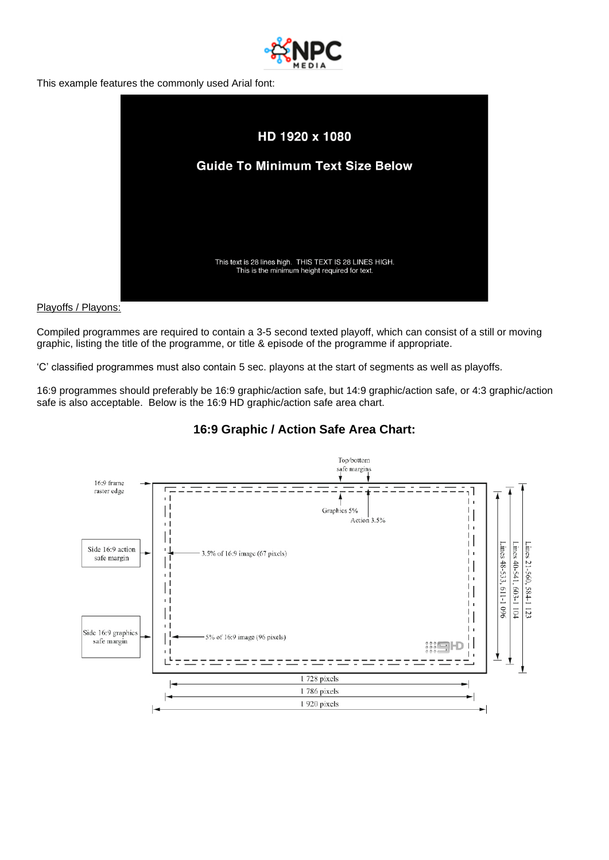

This example features the commonly used Arial font:



### Playoffs / Playons:

Compiled programmes are required to contain a 3-5 second texted playoff, which can consist of a still or moving graphic, listing the title of the programme, or title & episode of the programme if appropriate.

'C' classified programmes must also contain 5 sec. playons at the start of segments as well as playoffs.

16:9 programmes should preferably be 16:9 graphic/action safe, but 14:9 graphic/action safe, or 4:3 graphic/action safe is also acceptable. Below is the 16:9 HD graphic/action safe area chart.



### **16:9 Graphic / Action Safe Area Chart:**